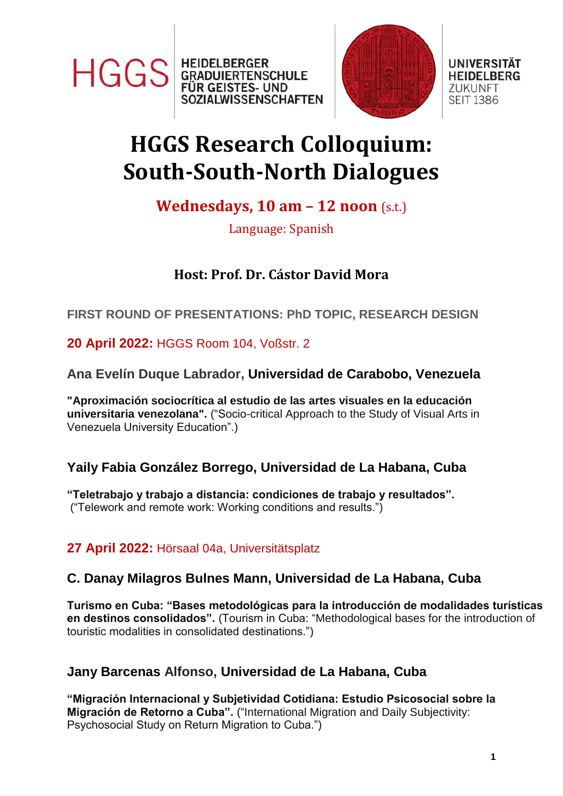



#### **UNIVERSITÄT HEIDELBERG ZUKUNFT SEIT 1386**

# **HGGS Research Colloquium: South-South-North Dialogues**

## **Wednesdays, 10 am – 12 noon** (s.t.)

Language: Spanish

## **Host: Prof. Dr. Cástor David Mora**

## **FIRST ROUND OF PRESENTATIONS: PhD TOPIC, RESEARCH DESIGN**

## **20 April 2022:** HGGS Room 104, Voßstr. 2

## **Ana Evelín Duque Labrador, Universidad de Carabobo, Venezuela**

**"Aproximación sociocrítica al estudio de las artes visuales en la educación universitaria venezolana".** ("Socio-critical Approach to the Study of Visual Arts in Venezuela University Education".)

## **Yaily Fabia González Borrego, Universidad de La Habana, Cuba**

**"Teletrabajo y trabajo a distancia: condiciones de trabajo y resultados".** ("Telework and remote work: Working conditions and results.")

## **27 April 2022:** Hörsaal 04a, Universitätsplatz

## **C. Danay Milagros Bulnes Mann, Universidad de La Habana, Cuba**

**Turismo en Cuba: "Bases metodológicas para la introducción de modalidades turísticas en destinos consolidados".** (Tourism in Cuba: "Methodological bases for the introduction of touristic modalities in consolidated destinations.")

## **Jany Barcenas Alfonso, Universidad de La Habana, Cuba**

**"Migración Internacional y Subjetividad Cotidiana: Estudio Psicosocial sobre la Migración de Retorno a Cuba".** ("International Migration and Daily Subjectivity: Psychosocial Study on Return Migration to Cuba.")